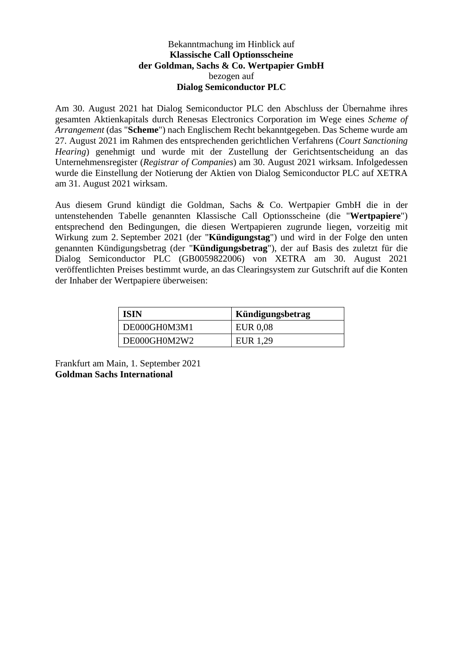## Bekanntmachung im Hinblick auf **Klassische Call Optionsscheine der Goldman, Sachs & Co. Wertpapier GmbH** bezogen auf **Dialog Semiconductor PLC**

Am 30. August 2021 hat Dialog Semiconductor PLC den Abschluss der Übernahme ihres gesamten Aktienkapitals durch Renesas Electronics Corporation im Wege eines *Scheme of Arrangement* (das "**Scheme**") nach Englischem Recht bekanntgegeben. Das Scheme wurde am 27. August 2021 im Rahmen des entsprechenden gerichtlichen Verfahrens (*Court Sanctioning Hearing*) genehmigt und wurde mit der Zustellung der Gerichtsentscheidung an das Unternehmensregister (*Registrar of Companies*) am 30. August 2021 wirksam. Infolgedessen wurde die Einstellung der Notierung der Aktien von Dialog Semiconductor PLC auf XETRA am 31. August 2021 wirksam.

Aus diesem Grund kündigt die Goldman, Sachs & Co. Wertpapier GmbH die in der untenstehenden Tabelle genannten Klassische Call Optionsscheine (die "**Wertpapiere**") entsprechend den Bedingungen, die diesen Wertpapieren zugrunde liegen, vorzeitig mit Wirkung zum 2. September 2021 (der "**Kündigungstag**") und wird in der Folge den unten genannten Kündigungsbetrag (der "**Kündigungsbetrag**"), der auf Basis des zuletzt für die Dialog Semiconductor PLC (GB0059822006) von XETRA am 30. August 2021 veröffentlichten Preises bestimmt wurde, an das Clearingsystem zur Gutschrift auf die Konten der Inhaber der Wertpapiere überweisen:

| <b>ISIN</b>  | Kündigungsbetrag |
|--------------|------------------|
| DE000GH0M3M1 | <b>EUR 0.08</b>  |
| DE000GH0M2W2 | EUR 1,29         |

Frankfurt am Main, 1. September 2021 **Goldman Sachs International**